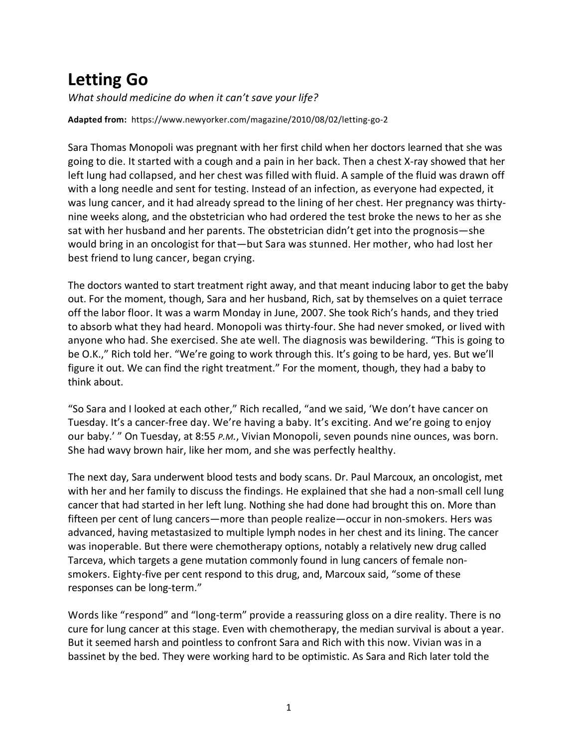## **Letting Go**

*What should medicine do when it can't save your life?*

**Adapted from:** https://www.newyorker.com/magazine/2010/08/02/letting-go-2

Sara Thomas Monopoli was pregnant with her first child when her doctors learned that she was going to die. It started with a cough and a pain in her back. Then a chest X-ray showed that her left lung had collapsed, and her chest was filled with fluid. A sample of the fluid was drawn off with a long needle and sent for testing. Instead of an infection, as everyone had expected, it was lung cancer, and it had already spread to the lining of her chest. Her pregnancy was thirtynine weeks along, and the obstetrician who had ordered the test broke the news to her as she sat with her husband and her parents. The obstetrician didn't get into the prognosis—she would bring in an oncologist for that—but Sara was stunned. Her mother, who had lost her best friend to lung cancer, began crying.

The doctors wanted to start treatment right away, and that meant inducing labor to get the baby out. For the moment, though, Sara and her husband, Rich, sat by themselves on a quiet terrace off the labor floor. It was a warm Monday in June, 2007. She took Rich's hands, and they tried to absorb what they had heard. Monopoli was thirty-four. She had never smoked, or lived with anyone who had. She exercised. She ate well. The diagnosis was bewildering. "This is going to be O.K.," Rich told her. "We're going to work through this. It's going to be hard, yes. But we'll figure it out. We can find the right treatment." For the moment, though, they had a baby to think about.

"So Sara and I looked at each other," Rich recalled, "and we said, 'We don't have cancer on Tuesday. It's a cancer-free day. We're having a baby. It's exciting. And we're going to enjoy our baby.' " On Tuesday, at 8:55 *P.M.*, Vivian Monopoli, seven pounds nine ounces, was born. She had wavy brown hair, like her mom, and she was perfectly healthy.

The next day, Sara underwent blood tests and body scans. Dr. Paul Marcoux, an oncologist, met with her and her family to discuss the findings. He explained that she had a non-small cell lung cancer that had started in her left lung. Nothing she had done had brought this on. More than fifteen per cent of lung cancers—more than people realize—occur in non-smokers. Hers was advanced, having metastasized to multiple lymph nodes in her chest and its lining. The cancer was inoperable. But there were chemotherapy options, notably a relatively new drug called Tarceva, which targets a gene mutation commonly found in lung cancers of female nonsmokers. Eighty-five per cent respond to this drug, and, Marcoux said, "some of these responses can be long-term."

Words like "respond" and "long-term" provide a reassuring gloss on a dire reality. There is no cure for lung cancer at this stage. Even with chemotherapy, the median survival is about a year. But it seemed harsh and pointless to confront Sara and Rich with this now. Vivian was in a bassinet by the bed. They were working hard to be optimistic. As Sara and Rich later told the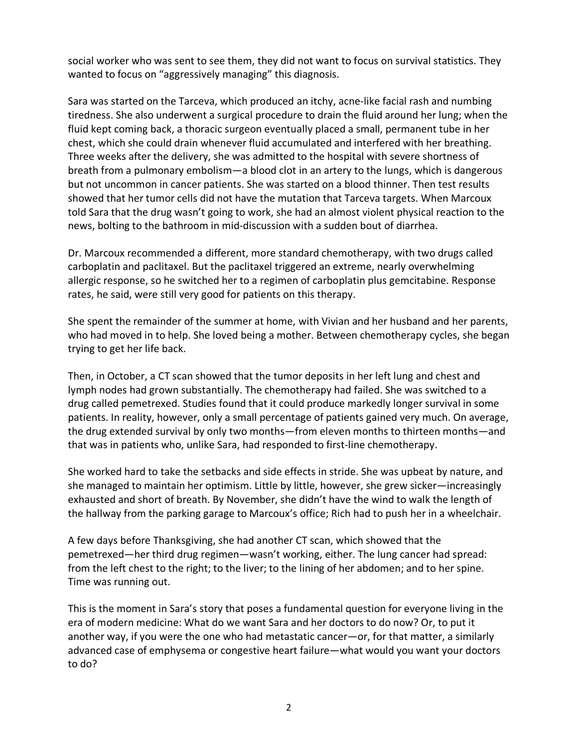social worker who was sent to see them, they did not want to focus on survival statistics. They wanted to focus on "aggressively managing" this diagnosis.

Sara was started on the Tarceva, which produced an itchy, acne-like facial rash and numbing tiredness. She also underwent a surgical procedure to drain the fluid around her lung; when the fluid kept coming back, a thoracic surgeon eventually placed a small, permanent tube in her chest, which she could drain whenever fluid accumulated and interfered with her breathing. Three weeks after the delivery, she was admitted to the hospital with severe shortness of breath from a pulmonary embolism—a blood clot in an artery to the lungs, which is dangerous but not uncommon in cancer patients. She was started on a blood thinner. Then test results showed that her tumor cells did not have the mutation that Tarceva targets. When Marcoux told Sara that the drug wasn't going to work, she had an almost violent physical reaction to the news, bolting to the bathroom in mid-discussion with a sudden bout of diarrhea.

Dr. Marcoux recommended a different, more standard chemotherapy, with two drugs called carboplatin and paclitaxel. But the paclitaxel triggered an extreme, nearly overwhelming allergic response, so he switched her to a regimen of carboplatin plus gemcitabine. Response rates, he said, were still very good for patients on this therapy.

She spent the remainder of the summer at home, with Vivian and her husband and her parents, who had moved in to help. She loved being a mother. Between chemotherapy cycles, she began trying to get her life back.

Then, in October, a CT scan showed that the tumor deposits in her left lung and chest and lymph nodes had grown substantially. The chemotherapy had failed. She was switched to a drug called pemetrexed. Studies found that it could produce markedly longer survival in some patients. In reality, however, only a small percentage of patients gained very much. On average, the drug extended survival by only two months—from eleven months to thirteen months—and that was in patients who, unlike Sara, had responded to first-line chemotherapy.

She worked hard to take the setbacks and side effects in stride. She was upbeat by nature, and she managed to maintain her optimism. Little by little, however, she grew sicker—increasingly exhausted and short of breath. By November, she didn't have the wind to walk the length of the hallway from the parking garage to Marcoux's office; Rich had to push her in a wheelchair.

A few days before Thanksgiving, she had another CT scan, which showed that the pemetrexed—her third drug regimen—wasn't working, either. The lung cancer had spread: from the left chest to the right; to the liver; to the lining of her abdomen; and to her spine. Time was running out.

This is the moment in Sara's story that poses a fundamental question for everyone living in the era of modern medicine: What do we want Sara and her doctors to do now? Or, to put it another way, if you were the one who had metastatic cancer—or, for that matter, a similarly advanced case of emphysema or congestive heart failure—what would you want your doctors to do?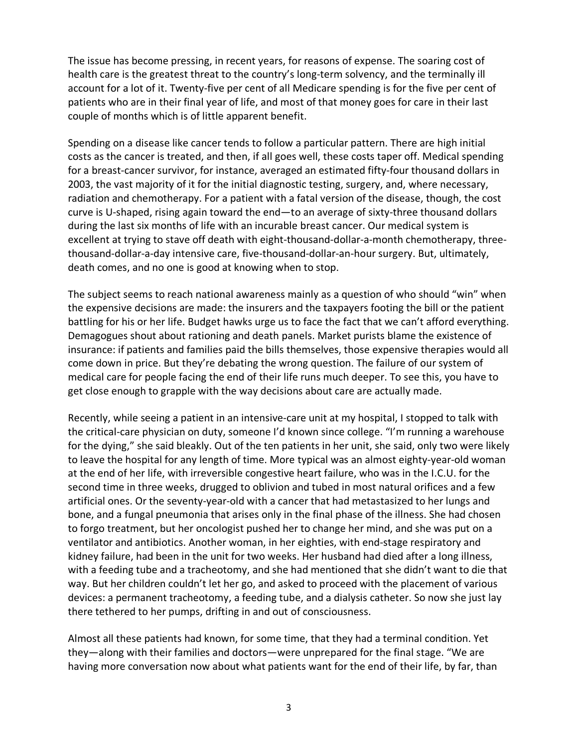The issue has become pressing, in recent years, for reasons of expense. The soaring cost of health care is the greatest threat to the country's long-term solvency, and the terminally ill account for a lot of it. Twenty-five per cent of all Medicare spending is for the five per cent of patients who are in their final year of life, and most of that money goes for care in their last couple of months which is of little apparent benefit.

Spending on a disease like cancer tends to follow a particular pattern. There are high initial costs as the cancer is treated, and then, if all goes well, these costs taper off. Medical spending for a breast-cancer survivor, for instance, averaged an estimated fifty-four thousand dollars in 2003, the vast majority of it for the initial diagnostic testing, surgery, and, where necessary, radiation and chemotherapy. For a patient with a fatal version of the disease, though, the cost curve is U-shaped, rising again toward the end—to an average of sixty-three thousand dollars during the last six months of life with an incurable breast cancer. Our medical system is excellent at trying to stave off death with eight-thousand-dollar-a-month chemotherapy, threethousand-dollar-a-day intensive care, five-thousand-dollar-an-hour surgery. But, ultimately, death comes, and no one is good at knowing when to stop.

The subject seems to reach national awareness mainly as a question of who should "win" when the expensive decisions are made: the insurers and the taxpayers footing the bill or the patient battling for his or her life. Budget hawks urge us to face the fact that we can't afford everything. Demagogues shout about rationing and death panels. Market purists blame the existence of insurance: if patients and families paid the bills themselves, those expensive therapies would all come down in price. But they're debating the wrong question. The failure of our system of medical care for people facing the end of their life runs much deeper. To see this, you have to get close enough to grapple with the way decisions about care are actually made.

Recently, while seeing a patient in an intensive-care unit at my hospital, I stopped to talk with the critical-care physician on duty, someone I'd known since college. "I'm running a warehouse for the dying," she said bleakly. Out of the ten patients in her unit, she said, only two were likely to leave the hospital for any length of time. More typical was an almost eighty-year-old woman at the end of her life, with irreversible congestive heart failure, who was in the I.C.U. for the second time in three weeks, drugged to oblivion and tubed in most natural orifices and a few artificial ones. Or the seventy-year-old with a cancer that had metastasized to her lungs and bone, and a fungal pneumonia that arises only in the final phase of the illness. She had chosen to forgo treatment, but her oncologist pushed her to change her mind, and she was put on a ventilator and antibiotics. Another woman, in her eighties, with end-stage respiratory and kidney failure, had been in the unit for two weeks. Her husband had died after a long illness, with a feeding tube and a tracheotomy, and she had mentioned that she didn't want to die that way. But her children couldn't let her go, and asked to proceed with the placement of various devices: a permanent tracheotomy, a feeding tube, and a dialysis catheter. So now she just lay there tethered to her pumps, drifting in and out of consciousness.

Almost all these patients had known, for some time, that they had a terminal condition. Yet they—along with their families and doctors—were unprepared for the final stage. "We are having more conversation now about what patients want for the end of their life, by far, than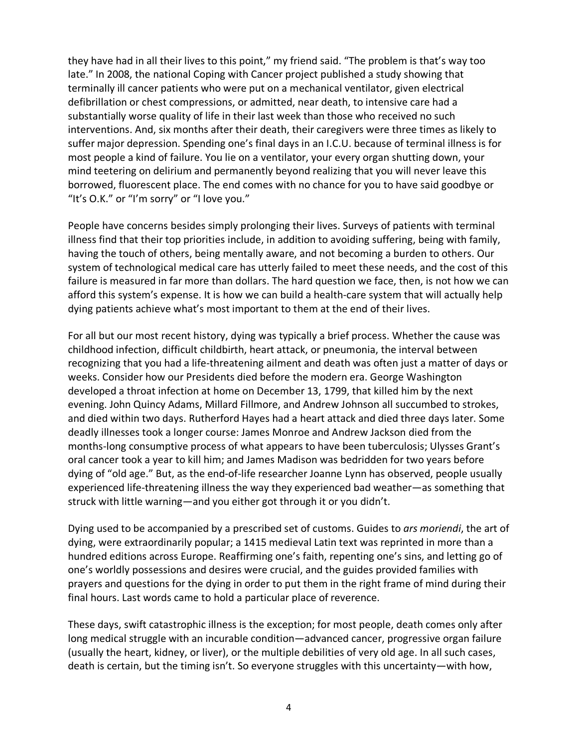they have had in all their lives to this point," my friend said. "The problem is that's way too late." In 2008, the national Coping with Cancer project published a study showing that terminally ill cancer patients who were put on a mechanical ventilator, given electrical defibrillation or chest compressions, or admitted, near death, to intensive care had a substantially worse quality of life in their last week than those who received no such interventions. And, six months after their death, their caregivers were three times as likely to suffer major depression. Spending one's final days in an I.C.U. because of terminal illness is for most people a kind of failure. You lie on a ventilator, your every organ shutting down, your mind teetering on delirium and permanently beyond realizing that you will never leave this borrowed, fluorescent place. The end comes with no chance for you to have said goodbye or "It's O.K." or "I'm sorry" or "I love you."

People have concerns besides simply prolonging their lives. Surveys of patients with terminal illness find that their top priorities include, in addition to avoiding suffering, being with family, having the touch of others, being mentally aware, and not becoming a burden to others. Our system of technological medical care has utterly failed to meet these needs, and the cost of this failure is measured in far more than dollars. The hard question we face, then, is not how we can afford this system's expense. It is how we can build a health-care system that will actually help dying patients achieve what's most important to them at the end of their lives.

For all but our most recent history, dying was typically a brief process. Whether the cause was childhood infection, difficult childbirth, heart attack, or pneumonia, the interval between recognizing that you had a life-threatening ailment and death was often just a matter of days or weeks. Consider how our Presidents died before the modern era. George Washington developed a throat infection at home on December 13, 1799, that killed him by the next evening. John Quincy Adams, Millard Fillmore, and Andrew Johnson all succumbed to strokes, and died within two days. Rutherford Hayes had a heart attack and died three days later. Some deadly illnesses took a longer course: James Monroe and Andrew Jackson died from the months-long consumptive process of what appears to have been tuberculosis; Ulysses Grant's oral cancer took a year to kill him; and James Madison was bedridden for two years before dying of "old age." But, as the end-of-life researcher Joanne Lynn has observed, people usually experienced life-threatening illness the way they experienced bad weather—as something that struck with little warning—and you either got through it or you didn't.

Dying used to be accompanied by a prescribed set of customs. Guides to *ars moriendi*, the art of dying, were extraordinarily popular; a 1415 medieval Latin text was reprinted in more than a hundred editions across Europe. Reaffirming one's faith, repenting one's sins, and letting go of one's worldly possessions and desires were crucial, and the guides provided families with prayers and questions for the dying in order to put them in the right frame of mind during their final hours. Last words came to hold a particular place of reverence.

These days, swift catastrophic illness is the exception; for most people, death comes only after long medical struggle with an incurable condition—advanced cancer, progressive organ failure (usually the heart, kidney, or liver), or the multiple debilities of very old age. In all such cases, death is certain, but the timing isn't. So everyone struggles with this uncertainty—with how,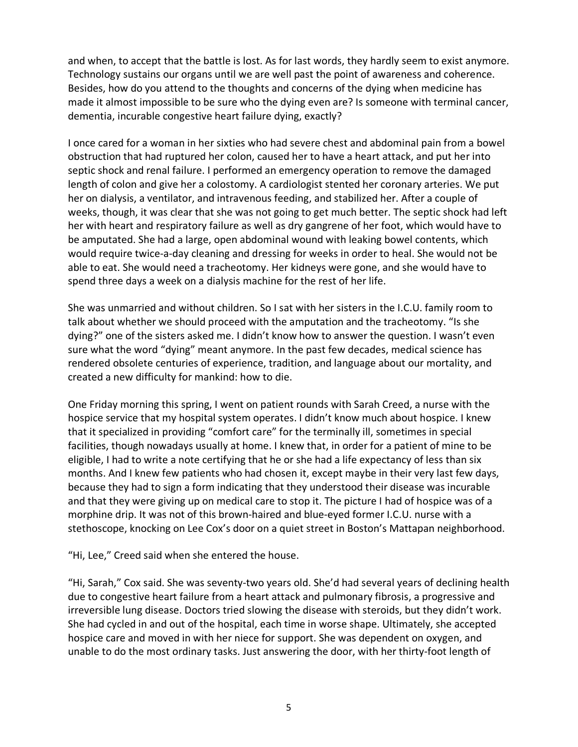and when, to accept that the battle is lost. As for last words, they hardly seem to exist anymore. Technology sustains our organs until we are well past the point of awareness and coherence. Besides, how do you attend to the thoughts and concerns of the dying when medicine has made it almost impossible to be sure who the dying even are? Is someone with terminal cancer, dementia, incurable congestive heart failure dying, exactly?

I once cared for a woman in her sixties who had severe chest and abdominal pain from a bowel obstruction that had ruptured her colon, caused her to have a heart attack, and put her into septic shock and renal failure. I performed an emergency operation to remove the damaged length of colon and give her a colostomy. A cardiologist stented her coronary arteries. We put her on dialysis, a ventilator, and intravenous feeding, and stabilized her. After a couple of weeks, though, it was clear that she was not going to get much better. The septic shock had left her with heart and respiratory failure as well as dry gangrene of her foot, which would have to be amputated. She had a large, open abdominal wound with leaking bowel contents, which would require twice-a-day cleaning and dressing for weeks in order to heal. She would not be able to eat. She would need a tracheotomy. Her kidneys were gone, and she would have to spend three days a week on a dialysis machine for the rest of her life.

She was unmarried and without children. So I sat with her sisters in the I.C.U. family room to talk about whether we should proceed with the amputation and the tracheotomy. "Is she dying?" one of the sisters asked me. I didn't know how to answer the question. I wasn't even sure what the word "dying" meant anymore. In the past few decades, medical science has rendered obsolete centuries of experience, tradition, and language about our mortality, and created a new difficulty for mankind: how to die.

One Friday morning this spring, I went on patient rounds with Sarah Creed, a nurse with the hospice service that my hospital system operates. I didn't know much about hospice. I knew that it specialized in providing "comfort care" for the terminally ill, sometimes in special facilities, though nowadays usually at home. I knew that, in order for a patient of mine to be eligible, I had to write a note certifying that he or she had a life expectancy of less than six months. And I knew few patients who had chosen it, except maybe in their very last few days, because they had to sign a form indicating that they understood their disease was incurable and that they were giving up on medical care to stop it. The picture I had of hospice was of a morphine drip. It was not of this brown-haired and blue-eyed former I.C.U. nurse with a stethoscope, knocking on Lee Cox's door on a quiet street in Boston's Mattapan neighborhood.

"Hi, Lee," Creed said when she entered the house.

"Hi, Sarah," Cox said. She was seventy-two years old. She'd had several years of declining health due to congestive heart failure from a heart attack and pulmonary fibrosis, a progressive and irreversible lung disease. Doctors tried slowing the disease with steroids, but they didn't work. She had cycled in and out of the hospital, each time in worse shape. Ultimately, she accepted hospice care and moved in with her niece for support. She was dependent on oxygen, and unable to do the most ordinary tasks. Just answering the door, with her thirty-foot length of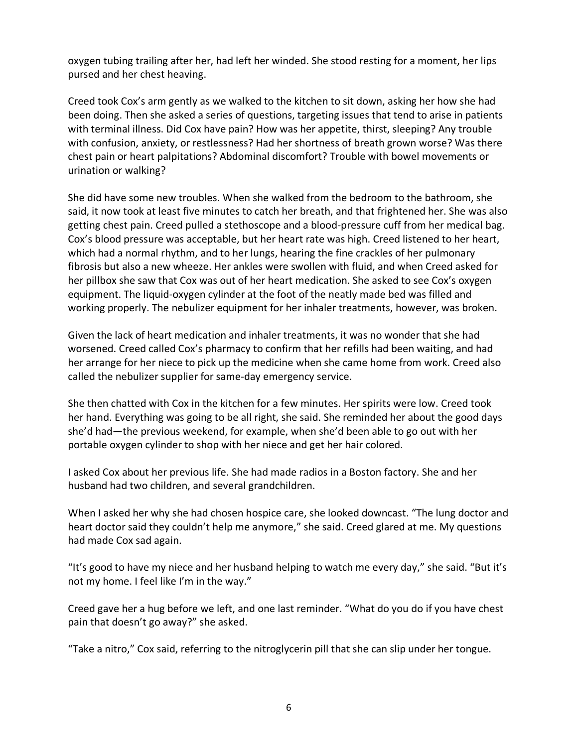oxygen tubing trailing after her, had left her winded. She stood resting for a moment, her lips pursed and her chest heaving.

Creed took Cox's arm gently as we walked to the kitchen to sit down, asking her how she had been doing. Then she asked a series of questions, targeting issues that tend to arise in patients with terminal illness. Did Cox have pain? How was her appetite, thirst, sleeping? Any trouble with confusion, anxiety, or restlessness? Had her shortness of breath grown worse? Was there chest pain or heart palpitations? Abdominal discomfort? Trouble with bowel movements or urination or walking?

She did have some new troubles. When she walked from the bedroom to the bathroom, she said, it now took at least five minutes to catch her breath, and that frightened her. She was also getting chest pain. Creed pulled a stethoscope and a blood-pressure cuff from her medical bag. Cox's blood pressure was acceptable, but her heart rate was high. Creed listened to her heart, which had a normal rhythm, and to her lungs, hearing the fine crackles of her pulmonary fibrosis but also a new wheeze. Her ankles were swollen with fluid, and when Creed asked for her pillbox she saw that Cox was out of her heart medication. She asked to see Cox's oxygen equipment. The liquid-oxygen cylinder at the foot of the neatly made bed was filled and working properly. The nebulizer equipment for her inhaler treatments, however, was broken.

Given the lack of heart medication and inhaler treatments, it was no wonder that she had worsened. Creed called Cox's pharmacy to confirm that her refills had been waiting, and had her arrange for her niece to pick up the medicine when she came home from work. Creed also called the nebulizer supplier for same-day emergency service.

She then chatted with Cox in the kitchen for a few minutes. Her spirits were low. Creed took her hand. Everything was going to be all right, she said. She reminded her about the good days she'd had—the previous weekend, for example, when she'd been able to go out with her portable oxygen cylinder to shop with her niece and get her hair colored.

I asked Cox about her previous life. She had made radios in a Boston factory. She and her husband had two children, and several grandchildren.

When I asked her why she had chosen hospice care, she looked downcast. "The lung doctor and heart doctor said they couldn't help me anymore," she said. Creed glared at me. My questions had made Cox sad again.

"It's good to have my niece and her husband helping to watch me every day," she said. "But it's not my home. I feel like I'm in the way."

Creed gave her a hug before we left, and one last reminder. "What do you do if you have chest pain that doesn't go away?" she asked.

"Take a nitro," Cox said, referring to the nitroglycerin pill that she can slip under her tongue.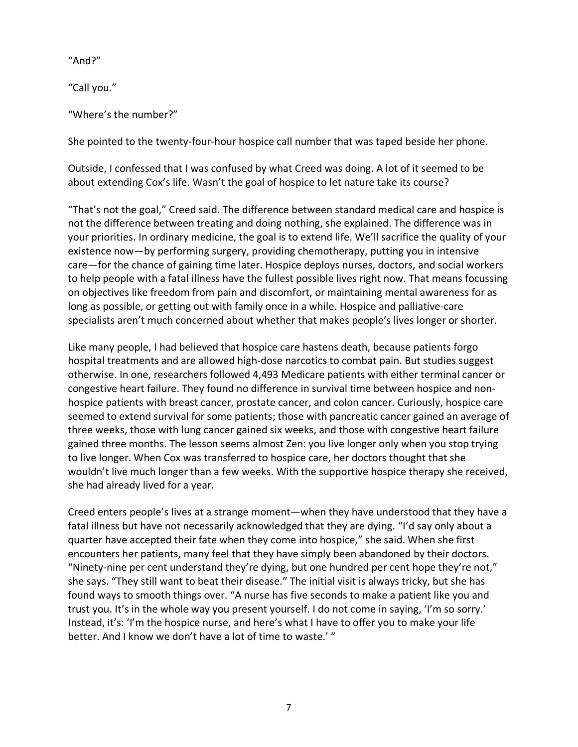"And?"

"Call you."

"Where's the number?"

She pointed to the twenty-four-hour hospice call number that was taped beside her phone.

Outside, I confessed that I was confused by what Creed was doing. A lot of it seemed to be about extending Cox's life. Wasn't the goal of hospice to let nature take its course?

"That's not the goal," Creed said. The difference between standard medical care and hospice is not the difference between treating and doing nothing, she explained. The difference was in your priorities. In ordinary medicine, the goal is to extend life. We'll sacrifice the quality of your existence now—by performing surgery, providing chemotherapy, putting you in intensive care—for the chance of gaining time later. Hospice deploys nurses, doctors, and social workers to help people with a fatal illness have the fullest possible lives right now. That means focussing on objectives like freedom from pain and discomfort, or maintaining mental awareness for as long as possible, or getting out with family once in a while. Hospice and palliative-care specialists aren't much concerned about whether that makes people's lives longer or shorter.

Like many people, I had believed that hospice care hastens death, because patients forgo hospital treatments and are allowed high-dose narcotics to combat pain. But studies suggest otherwise. In one, researchers followed 4,493 Medicare patients with either terminal cancer or congestive heart failure. They found no difference in survival time between hospice and nonhospice patients with breast cancer, prostate cancer, and colon cancer. Curiously, hospice care seemed to extend survival for some patients; those with pancreatic cancer gained an average of three weeks, those with lung cancer gained six weeks, and those with congestive heart failure gained three months. The lesson seems almost Zen: you live longer only when you stop trying to live longer. When Cox was transferred to hospice care, her doctors thought that she wouldn't live much longer than a few weeks. With the supportive hospice therapy she received, she had already lived for a year.

Creed enters people's lives at a strange moment—when they have understood that they have a fatal illness but have not necessarily acknowledged that they are dying. "I'd say only about a quarter have accepted their fate when they come into hospice," she said. When she first encounters her patients, many feel that they have simply been abandoned by their doctors. "Ninety-nine per cent understand they're dying, but one hundred per cent hope they're not," she says. "They still want to beat their disease." The initial visit is always tricky, but she has found ways to smooth things over. "A nurse has five seconds to make a patient like you and trust you. It's in the whole way you present yourself. I do not come in saying, 'I'm so sorry.' Instead, it's: 'I'm the hospice nurse, and here's what I have to offer you to make your life better. And I know we don't have a lot of time to waste.' "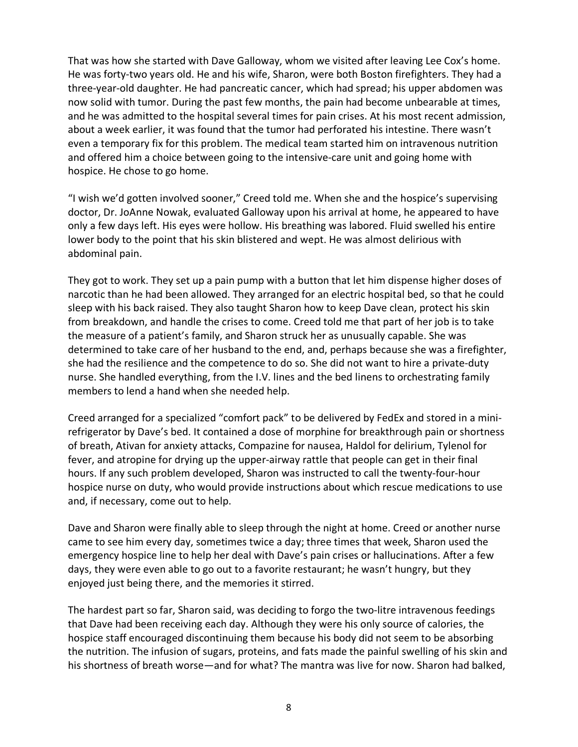That was how she started with Dave Galloway, whom we visited after leaving Lee Cox's home. He was forty-two years old. He and his wife, Sharon, were both Boston firefighters. They had a three-year-old daughter. He had pancreatic cancer, which had spread; his upper abdomen was now solid with tumor. During the past few months, the pain had become unbearable at times, and he was admitted to the hospital several times for pain crises. At his most recent admission, about a week earlier, it was found that the tumor had perforated his intestine. There wasn't even a temporary fix for this problem. The medical team started him on intravenous nutrition and offered him a choice between going to the intensive-care unit and going home with hospice. He chose to go home.

"I wish we'd gotten involved sooner," Creed told me. When she and the hospice's supervising doctor, Dr. JoAnne Nowak, evaluated Galloway upon his arrival at home, he appeared to have only a few days left. His eyes were hollow. His breathing was labored. Fluid swelled his entire lower body to the point that his skin blistered and wept. He was almost delirious with abdominal pain.

They got to work. They set up a pain pump with a button that let him dispense higher doses of narcotic than he had been allowed. They arranged for an electric hospital bed, so that he could sleep with his back raised. They also taught Sharon how to keep Dave clean, protect his skin from breakdown, and handle the crises to come. Creed told me that part of her job is to take the measure of a patient's family, and Sharon struck her as unusually capable. She was determined to take care of her husband to the end, and, perhaps because she was a firefighter, she had the resilience and the competence to do so. She did not want to hire a private-duty nurse. She handled everything, from the I.V. lines and the bed linens to orchestrating family members to lend a hand when she needed help.

Creed arranged for a specialized "comfort pack" to be delivered by FedEx and stored in a minirefrigerator by Dave's bed. It contained a dose of morphine for breakthrough pain or shortness of breath, Ativan for anxiety attacks, Compazine for nausea, Haldol for delirium, Tylenol for fever, and atropine for drying up the upper-airway rattle that people can get in their final hours. If any such problem developed, Sharon was instructed to call the twenty-four-hour hospice nurse on duty, who would provide instructions about which rescue medications to use and, if necessary, come out to help.

Dave and Sharon were finally able to sleep through the night at home. Creed or another nurse came to see him every day, sometimes twice a day; three times that week, Sharon used the emergency hospice line to help her deal with Dave's pain crises or hallucinations. After a few days, they were even able to go out to a favorite restaurant; he wasn't hungry, but they enjoyed just being there, and the memories it stirred.

The hardest part so far, Sharon said, was deciding to forgo the two-litre intravenous feedings that Dave had been receiving each day. Although they were his only source of calories, the hospice staff encouraged discontinuing them because his body did not seem to be absorbing the nutrition. The infusion of sugars, proteins, and fats made the painful swelling of his skin and his shortness of breath worse—and for what? The mantra was live for now. Sharon had balked,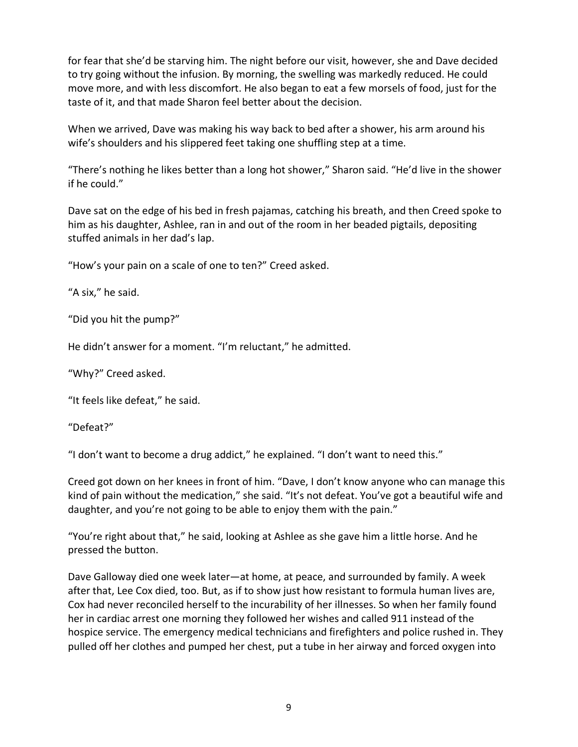for fear that she'd be starving him. The night before our visit, however, she and Dave decided to try going without the infusion. By morning, the swelling was markedly reduced. He could move more, and with less discomfort. He also began to eat a few morsels of food, just for the taste of it, and that made Sharon feel better about the decision.

When we arrived, Dave was making his way back to bed after a shower, his arm around his wife's shoulders and his slippered feet taking one shuffling step at a time.

"There's nothing he likes better than a long hot shower," Sharon said. "He'd live in the shower if he could."

Dave sat on the edge of his bed in fresh pajamas, catching his breath, and then Creed spoke to him as his daughter, Ashlee, ran in and out of the room in her beaded pigtails, depositing stuffed animals in her dad's lap.

"How's your pain on a scale of one to ten?" Creed asked.

"A six," he said.

"Did you hit the pump?"

He didn't answer for a moment. "I'm reluctant," he admitted.

"Why?" Creed asked.

"It feels like defeat," he said.

"Defeat?"

"I don't want to become a drug addict," he explained. "I don't want to need this."

Creed got down on her knees in front of him. "Dave, I don't know anyone who can manage this kind of pain without the medication," she said. "It's not defeat. You've got a beautiful wife and daughter, and you're not going to be able to enjoy them with the pain."

"You're right about that," he said, looking at Ashlee as she gave him a little horse. And he pressed the button.

Dave Galloway died one week later—at home, at peace, and surrounded by family. A week after that, Lee Cox died, too. But, as if to show just how resistant to formula human lives are, Cox had never reconciled herself to the incurability of her illnesses. So when her family found her in cardiac arrest one morning they followed her wishes and called 911 instead of the hospice service. The emergency medical technicians and firefighters and police rushed in. They pulled off her clothes and pumped her chest, put a tube in her airway and forced oxygen into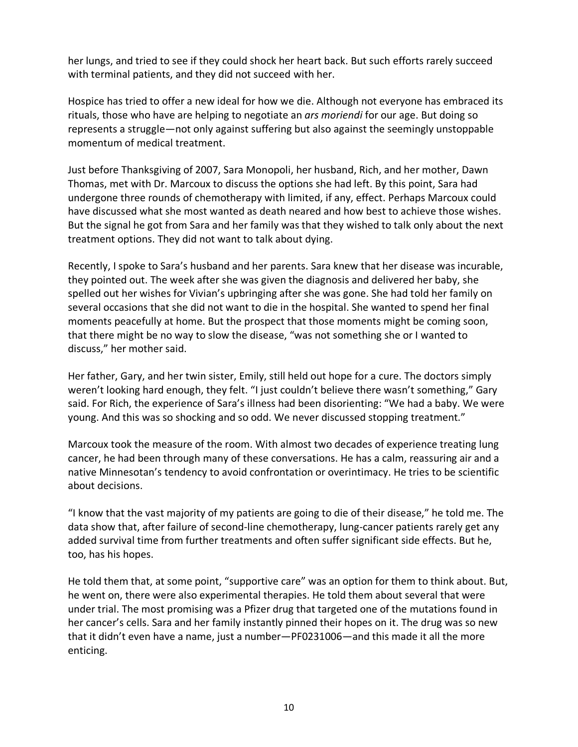her lungs, and tried to see if they could shock her heart back. But such efforts rarely succeed with terminal patients, and they did not succeed with her.

Hospice has tried to offer a new ideal for how we die. Although not everyone has embraced its rituals, those who have are helping to negotiate an *ars moriendi* for our age. But doing so represents a struggle—not only against suffering but also against the seemingly unstoppable momentum of medical treatment.

Just before Thanksgiving of 2007, Sara Monopoli, her husband, Rich, and her mother, Dawn Thomas, met with Dr. Marcoux to discuss the options she had left. By this point, Sara had undergone three rounds of chemotherapy with limited, if any, effect. Perhaps Marcoux could have discussed what she most wanted as death neared and how best to achieve those wishes. But the signal he got from Sara and her family was that they wished to talk only about the next treatment options. They did not want to talk about dying.

Recently, I spoke to Sara's husband and her parents. Sara knew that her disease was incurable, they pointed out. The week after she was given the diagnosis and delivered her baby, she spelled out her wishes for Vivian's upbringing after she was gone. She had told her family on several occasions that she did not want to die in the hospital. She wanted to spend her final moments peacefully at home. But the prospect that those moments might be coming soon, that there might be no way to slow the disease, "was not something she or I wanted to discuss," her mother said.

Her father, Gary, and her twin sister, Emily, still held out hope for a cure. The doctors simply weren't looking hard enough, they felt. "I just couldn't believe there wasn't something," Gary said. For Rich, the experience of Sara's illness had been disorienting: "We had a baby. We were young. And this was so shocking and so odd. We never discussed stopping treatment."

Marcoux took the measure of the room. With almost two decades of experience treating lung cancer, he had been through many of these conversations. He has a calm, reassuring air and a native Minnesotan's tendency to avoid confrontation or overintimacy. He tries to be scientific about decisions.

"I know that the vast majority of my patients are going to die of their disease," he told me. The data show that, after failure of second-line chemotherapy, lung-cancer patients rarely get any added survival time from further treatments and often suffer significant side effects. But he, too, has his hopes.

He told them that, at some point, "supportive care" was an option for them to think about. But, he went on, there were also experimental therapies. He told them about several that were under trial. The most promising was a Pfizer drug that targeted one of the mutations found in her cancer's cells. Sara and her family instantly pinned their hopes on it. The drug was so new that it didn't even have a name, just a number—PF0231006—and this made it all the more enticing.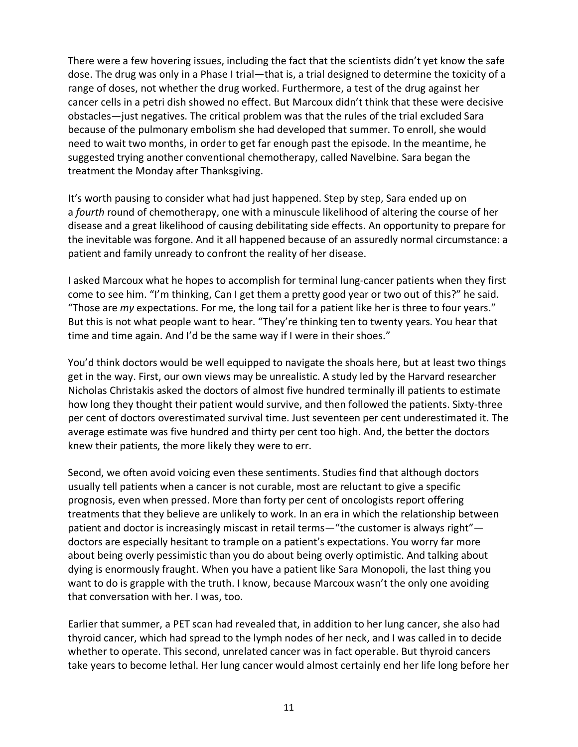There were a few hovering issues, including the fact that the scientists didn't yet know the safe dose. The drug was only in a Phase I trial—that is, a trial designed to determine the toxicity of a range of doses, not whether the drug worked. Furthermore, a test of the drug against her cancer cells in a petri dish showed no effect. But Marcoux didn't think that these were decisive obstacles—just negatives. The critical problem was that the rules of the trial excluded Sara because of the pulmonary embolism she had developed that summer. To enroll, she would need to wait two months, in order to get far enough past the episode. In the meantime, he suggested trying another conventional chemotherapy, called Navelbine. Sara began the treatment the Monday after Thanksgiving.

It's worth pausing to consider what had just happened. Step by step, Sara ended up on a *fourth* round of chemotherapy, one with a minuscule likelihood of altering the course of her disease and a great likelihood of causing debilitating side effects. An opportunity to prepare for the inevitable was forgone. And it all happened because of an assuredly normal circumstance: a patient and family unready to confront the reality of her disease.

I asked Marcoux what he hopes to accomplish for terminal lung-cancer patients when they first come to see him. "I'm thinking, Can I get them a pretty good year or two out of this?" he said. "Those are *my* expectations. For me, the long tail for a patient like her is three to four years." But this is not what people want to hear. "They're thinking ten to twenty years. You hear that time and time again. And I'd be the same way if I were in their shoes."

You'd think doctors would be well equipped to navigate the shoals here, but at least two things get in the way. First, our own views may be unrealistic. A study led by the Harvard researcher Nicholas Christakis asked the doctors of almost five hundred terminally ill patients to estimate how long they thought their patient would survive, and then followed the patients. Sixty-three per cent of doctors overestimated survival time. Just seventeen per cent underestimated it. The average estimate was five hundred and thirty per cent too high. And, the better the doctors knew their patients, the more likely they were to err.

Second, we often avoid voicing even these sentiments. Studies find that although doctors usually tell patients when a cancer is not curable, most are reluctant to give a specific prognosis, even when pressed. More than forty per cent of oncologists report offering treatments that they believe are unlikely to work. In an era in which the relationship between patient and doctor is increasingly miscast in retail terms—"the customer is always right" doctors are especially hesitant to trample on a patient's expectations. You worry far more about being overly pessimistic than you do about being overly optimistic. And talking about dying is enormously fraught. When you have a patient like Sara Monopoli, the last thing you want to do is grapple with the truth. I know, because Marcoux wasn't the only one avoiding that conversation with her. I was, too.

Earlier that summer, a PET scan had revealed that, in addition to her lung cancer, she also had thyroid cancer, which had spread to the lymph nodes of her neck, and I was called in to decide whether to operate. This second, unrelated cancer was in fact operable. But thyroid cancers take years to become lethal. Her lung cancer would almost certainly end her life long before her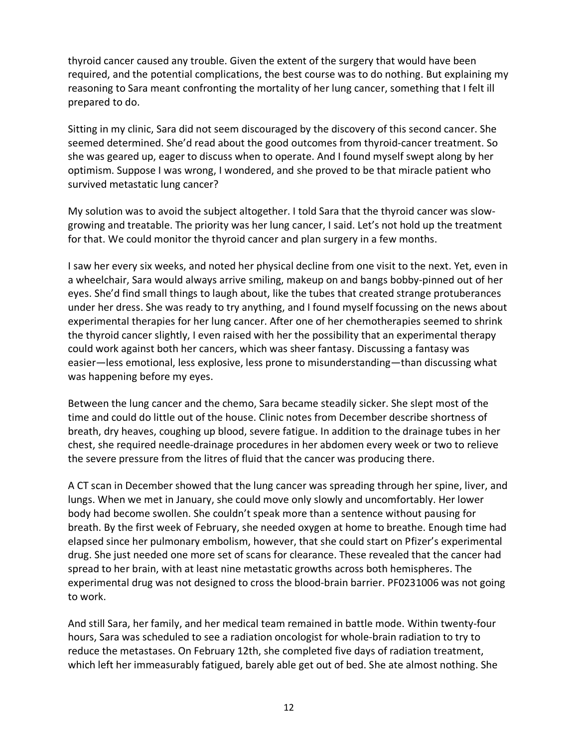thyroid cancer caused any trouble. Given the extent of the surgery that would have been required, and the potential complications, the best course was to do nothing. But explaining my reasoning to Sara meant confronting the mortality of her lung cancer, something that I felt ill prepared to do.

Sitting in my clinic, Sara did not seem discouraged by the discovery of this second cancer. She seemed determined. She'd read about the good outcomes from thyroid-cancer treatment. So she was geared up, eager to discuss when to operate. And I found myself swept along by her optimism. Suppose I was wrong, I wondered, and she proved to be that miracle patient who survived metastatic lung cancer?

My solution was to avoid the subject altogether. I told Sara that the thyroid cancer was slowgrowing and treatable. The priority was her lung cancer, I said. Let's not hold up the treatment for that. We could monitor the thyroid cancer and plan surgery in a few months.

I saw her every six weeks, and noted her physical decline from one visit to the next. Yet, even in a wheelchair, Sara would always arrive smiling, makeup on and bangs bobby-pinned out of her eyes. She'd find small things to laugh about, like the tubes that created strange protuberances under her dress. She was ready to try anything, and I found myself focussing on the news about experimental therapies for her lung cancer. After one of her chemotherapies seemed to shrink the thyroid cancer slightly, I even raised with her the possibility that an experimental therapy could work against both her cancers, which was sheer fantasy. Discussing a fantasy was easier—less emotional, less explosive, less prone to misunderstanding—than discussing what was happening before my eyes.

Between the lung cancer and the chemo, Sara became steadily sicker. She slept most of the time and could do little out of the house. Clinic notes from December describe shortness of breath, dry heaves, coughing up blood, severe fatigue. In addition to the drainage tubes in her chest, she required needle-drainage procedures in her abdomen every week or two to relieve the severe pressure from the litres of fluid that the cancer was producing there.

A CT scan in December showed that the lung cancer was spreading through her spine, liver, and lungs. When we met in January, she could move only slowly and uncomfortably. Her lower body had become swollen. She couldn't speak more than a sentence without pausing for breath. By the first week of February, she needed oxygen at home to breathe. Enough time had elapsed since her pulmonary embolism, however, that she could start on Pfizer's experimental drug. She just needed one more set of scans for clearance. These revealed that the cancer had spread to her brain, with at least nine metastatic growths across both hemispheres. The experimental drug was not designed to cross the blood-brain barrier. PF0231006 was not going to work.

And still Sara, her family, and her medical team remained in battle mode. Within twenty-four hours, Sara was scheduled to see a radiation oncologist for whole-brain radiation to try to reduce the metastases. On February 12th, she completed five days of radiation treatment, which left her immeasurably fatigued, barely able get out of bed. She ate almost nothing. She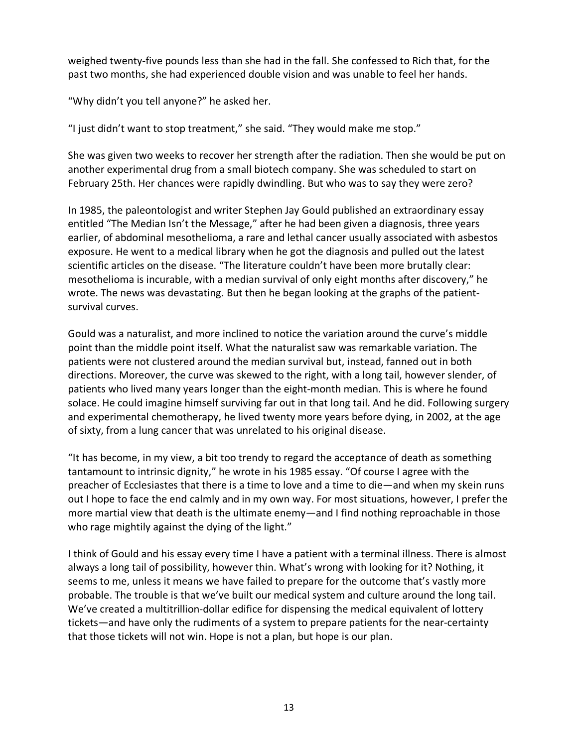weighed twenty-five pounds less than she had in the fall. She confessed to Rich that, for the past two months, she had experienced double vision and was unable to feel her hands.

"Why didn't you tell anyone?" he asked her.

"I just didn't want to stop treatment," she said. "They would make me stop."

She was given two weeks to recover her strength after the radiation. Then she would be put on another experimental drug from a small biotech company. She was scheduled to start on February 25th. Her chances were rapidly dwindling. But who was to say they were zero?

In 1985, the paleontologist and writer Stephen Jay Gould published an extraordinary essay entitled "The Median Isn't the Message," after he had been given a diagnosis, three years earlier, of abdominal mesothelioma, a rare and lethal cancer usually associated with asbestos exposure. He went to a medical library when he got the diagnosis and pulled out the latest scientific articles on the disease. "The literature couldn't have been more brutally clear: mesothelioma is incurable, with a median survival of only eight months after discovery," he wrote. The news was devastating. But then he began looking at the graphs of the patientsurvival curves.

Gould was a naturalist, and more inclined to notice the variation around the curve's middle point than the middle point itself. What the naturalist saw was remarkable variation. The patients were not clustered around the median survival but, instead, fanned out in both directions. Moreover, the curve was skewed to the right, with a long tail, however slender, of patients who lived many years longer than the eight-month median. This is where he found solace. He could imagine himself surviving far out in that long tail. And he did. Following surgery and experimental chemotherapy, he lived twenty more years before dying, in 2002, at the age of sixty, from a lung cancer that was unrelated to his original disease.

"It has become, in my view, a bit too trendy to regard the acceptance of death as something tantamount to intrinsic dignity," he wrote in his 1985 essay. "Of course I agree with the preacher of Ecclesiastes that there is a time to love and a time to die—and when my skein runs out I hope to face the end calmly and in my own way. For most situations, however, I prefer the more martial view that death is the ultimate enemy—and I find nothing reproachable in those who rage mightily against the dying of the light."

I think of Gould and his essay every time I have a patient with a terminal illness. There is almost always a long tail of possibility, however thin. What's wrong with looking for it? Nothing, it seems to me, unless it means we have failed to prepare for the outcome that's vastly more probable. The trouble is that we've built our medical system and culture around the long tail. We've created a multitrillion-dollar edifice for dispensing the medical equivalent of lottery tickets—and have only the rudiments of a system to prepare patients for the near-certainty that those tickets will not win. Hope is not a plan, but hope is our plan.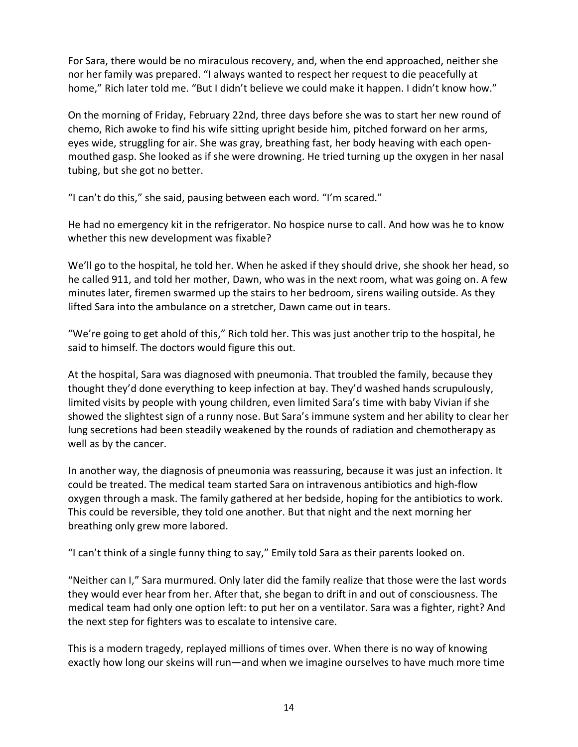For Sara, there would be no miraculous recovery, and, when the end approached, neither she nor her family was prepared. "I always wanted to respect her request to die peacefully at home," Rich later told me. "But I didn't believe we could make it happen. I didn't know how."

On the morning of Friday, February 22nd, three days before she was to start her new round of chemo, Rich awoke to find his wife sitting upright beside him, pitched forward on her arms, eyes wide, struggling for air. She was gray, breathing fast, her body heaving with each openmouthed gasp. She looked as if she were drowning. He tried turning up the oxygen in her nasal tubing, but she got no better.

"I can't do this," she said, pausing between each word. "I'm scared."

He had no emergency kit in the refrigerator. No hospice nurse to call. And how was he to know whether this new development was fixable?

We'll go to the hospital, he told her. When he asked if they should drive, she shook her head, so he called 911, and told her mother, Dawn, who was in the next room, what was going on. A few minutes later, firemen swarmed up the stairs to her bedroom, sirens wailing outside. As they lifted Sara into the ambulance on a stretcher, Dawn came out in tears.

"We're going to get ahold of this," Rich told her. This was just another trip to the hospital, he said to himself. The doctors would figure this out.

At the hospital, Sara was diagnosed with pneumonia. That troubled the family, because they thought they'd done everything to keep infection at bay. They'd washed hands scrupulously, limited visits by people with young children, even limited Sara's time with baby Vivian if she showed the slightest sign of a runny nose. But Sara's immune system and her ability to clear her lung secretions had been steadily weakened by the rounds of radiation and chemotherapy as well as by the cancer.

In another way, the diagnosis of pneumonia was reassuring, because it was just an infection. It could be treated. The medical team started Sara on intravenous antibiotics and high-flow oxygen through a mask. The family gathered at her bedside, hoping for the antibiotics to work. This could be reversible, they told one another. But that night and the next morning her breathing only grew more labored.

"I can't think of a single funny thing to say," Emily told Sara as their parents looked on.

"Neither can I," Sara murmured. Only later did the family realize that those were the last words they would ever hear from her. After that, she began to drift in and out of consciousness. The medical team had only one option left: to put her on a ventilator. Sara was a fighter, right? And the next step for fighters was to escalate to intensive care.

This is a modern tragedy, replayed millions of times over. When there is no way of knowing exactly how long our skeins will run—and when we imagine ourselves to have much more time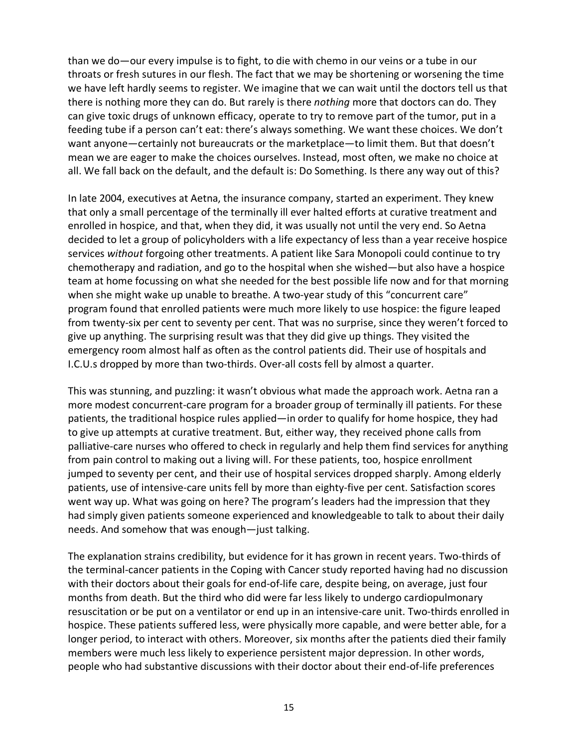than we do—our every impulse is to fight, to die with chemo in our veins or a tube in our throats or fresh sutures in our flesh. The fact that we may be shortening or worsening the time we have left hardly seems to register. We imagine that we can wait until the doctors tell us that there is nothing more they can do. But rarely is there *nothing* more that doctors can do. They can give toxic drugs of unknown efficacy, operate to try to remove part of the tumor, put in a feeding tube if a person can't eat: there's always something. We want these choices. We don't want anyone—certainly not bureaucrats or the marketplace—to limit them. But that doesn't mean we are eager to make the choices ourselves. Instead, most often, we make no choice at all. We fall back on the default, and the default is: Do Something. Is there any way out of this?

In late 2004, executives at Aetna, the insurance company, started an experiment. They knew that only a small percentage of the terminally ill ever halted efforts at curative treatment and enrolled in hospice, and that, when they did, it was usually not until the very end. So Aetna decided to let a group of policyholders with a life expectancy of less than a year receive hospice services *without* forgoing other treatments. A patient like Sara Monopoli could continue to try chemotherapy and radiation, and go to the hospital when she wished—but also have a hospice team at home focussing on what she needed for the best possible life now and for that morning when she might wake up unable to breathe. A two-year study of this "concurrent care" program found that enrolled patients were much more likely to use hospice: the figure leaped from twenty-six per cent to seventy per cent. That was no surprise, since they weren't forced to give up anything. The surprising result was that they did give up things. They visited the emergency room almost half as often as the control patients did. Their use of hospitals and I.C.U.s dropped by more than two-thirds. Over-all costs fell by almost a quarter.

This was stunning, and puzzling: it wasn't obvious what made the approach work. Aetna ran a more modest concurrent-care program for a broader group of terminally ill patients. For these patients, the traditional hospice rules applied—in order to qualify for home hospice, they had to give up attempts at curative treatment. But, either way, they received phone calls from palliative-care nurses who offered to check in regularly and help them find services for anything from pain control to making out a living will. For these patients, too, hospice enrollment jumped to seventy per cent, and their use of hospital services dropped sharply. Among elderly patients, use of intensive-care units fell by more than eighty-five per cent. Satisfaction scores went way up. What was going on here? The program's leaders had the impression that they had simply given patients someone experienced and knowledgeable to talk to about their daily needs. And somehow that was enough—just talking.

The explanation strains credibility, but evidence for it has grown in recent years. Two-thirds of the terminal-cancer patients in the Coping with Cancer study reported having had no discussion with their doctors about their goals for end-of-life care, despite being, on average, just four months from death. But the third who did were far less likely to undergo cardiopulmonary resuscitation or be put on a ventilator or end up in an intensive-care unit. Two-thirds enrolled in hospice. These patients suffered less, were physically more capable, and were better able, for a longer period, to interact with others. Moreover, six months after the patients died their family members were much less likely to experience persistent major depression. In other words, people who had substantive discussions with their doctor about their end-of-life preferences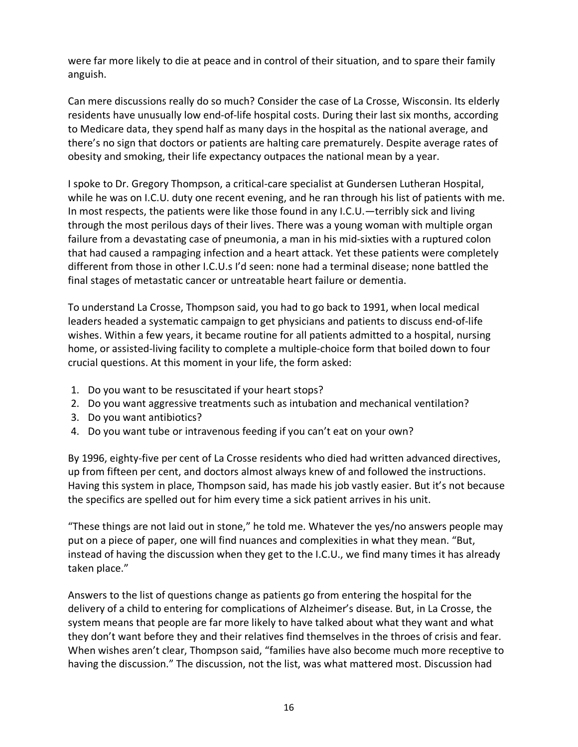were far more likely to die at peace and in control of their situation, and to spare their family anguish.

Can mere discussions really do so much? Consider the case of La Crosse, Wisconsin. Its elderly residents have unusually low end-of-life hospital costs. During their last six months, according to Medicare data, they spend half as many days in the hospital as the national average, and there's no sign that doctors or patients are halting care prematurely. Despite average rates of obesity and smoking, their life expectancy outpaces the national mean by a year.

I spoke to Dr. Gregory Thompson, a critical-care specialist at Gundersen Lutheran Hospital, while he was on I.C.U. duty one recent evening, and he ran through his list of patients with me. In most respects, the patients were like those found in any I.C.U.—terribly sick and living through the most perilous days of their lives. There was a young woman with multiple organ failure from a devastating case of pneumonia, a man in his mid-sixties with a ruptured colon that had caused a rampaging infection and a heart attack. Yet these patients were completely different from those in other I.C.U.s I'd seen: none had a terminal disease; none battled the final stages of metastatic cancer or untreatable heart failure or dementia.

To understand La Crosse, Thompson said, you had to go back to 1991, when local medical leaders headed a systematic campaign to get physicians and patients to discuss end-of-life wishes. Within a few years, it became routine for all patients admitted to a hospital, nursing home, or assisted-living facility to complete a multiple-choice form that boiled down to four crucial questions. At this moment in your life, the form asked:

- 1. Do you want to be resuscitated if your heart stops?
- 2. Do you want aggressive treatments such as intubation and mechanical ventilation?
- 3. Do you want antibiotics?
- 4. Do you want tube or intravenous feeding if you can't eat on your own?

By 1996, eighty-five per cent of La Crosse residents who died had written advanced directives, up from fifteen per cent, and doctors almost always knew of and followed the instructions. Having this system in place, Thompson said, has made his job vastly easier. But it's not because the specifics are spelled out for him every time a sick patient arrives in his unit.

"These things are not laid out in stone," he told me. Whatever the yes/no answers people may put on a piece of paper, one will find nuances and complexities in what they mean. "But, instead of having the discussion when they get to the I.C.U., we find many times it has already taken place."

Answers to the list of questions change as patients go from entering the hospital for the delivery of a child to entering for complications of Alzheimer's disease. But, in La Crosse, the system means that people are far more likely to have talked about what they want and what they don't want before they and their relatives find themselves in the throes of crisis and fear. When wishes aren't clear, Thompson said, "families have also become much more receptive to having the discussion." The discussion, not the list, was what mattered most. Discussion had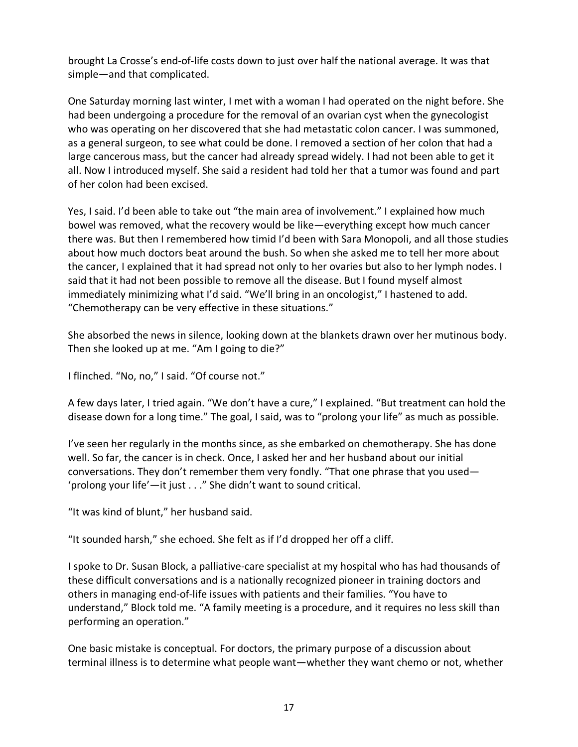brought La Crosse's end-of-life costs down to just over half the national average. It was that simple—and that complicated.

One Saturday morning last winter, I met with a woman I had operated on the night before. She had been undergoing a procedure for the removal of an ovarian cyst when the gynecologist who was operating on her discovered that she had metastatic colon cancer. I was summoned, as a general surgeon, to see what could be done. I removed a section of her colon that had a large cancerous mass, but the cancer had already spread widely. I had not been able to get it all. Now I introduced myself. She said a resident had told her that a tumor was found and part of her colon had been excised.

Yes, I said. I'd been able to take out "the main area of involvement." I explained how much bowel was removed, what the recovery would be like—everything except how much cancer there was. But then I remembered how timid I'd been with Sara Monopoli, and all those studies about how much doctors beat around the bush. So when she asked me to tell her more about the cancer, I explained that it had spread not only to her ovaries but also to her lymph nodes. I said that it had not been possible to remove all the disease. But I found myself almost immediately minimizing what I'd said. "We'll bring in an oncologist," I hastened to add. "Chemotherapy can be very effective in these situations."

She absorbed the news in silence, looking down at the blankets drawn over her mutinous body. Then she looked up at me. "Am I going to die?"

I flinched. "No, no," I said. "Of course not."

A few days later, I tried again. "We don't have a cure," I explained. "But treatment can hold the disease down for a long time." The goal, I said, was to "prolong your life" as much as possible.

I've seen her regularly in the months since, as she embarked on chemotherapy. She has done well. So far, the cancer is in check. Once, I asked her and her husband about our initial conversations. They don't remember them very fondly. "That one phrase that you used— 'prolong your life'—it just . . ." She didn't want to sound critical.

"It was kind of blunt," her husband said.

"It sounded harsh," she echoed. She felt as if I'd dropped her off a cliff.

I spoke to Dr. Susan Block, a palliative-care specialist at my hospital who has had thousands of these difficult conversations and is a nationally recognized pioneer in training doctors and others in managing end-of-life issues with patients and their families. "You have to understand," Block told me. "A family meeting is a procedure, and it requires no less skill than performing an operation."

One basic mistake is conceptual. For doctors, the primary purpose of a discussion about terminal illness is to determine what people want—whether they want chemo or not, whether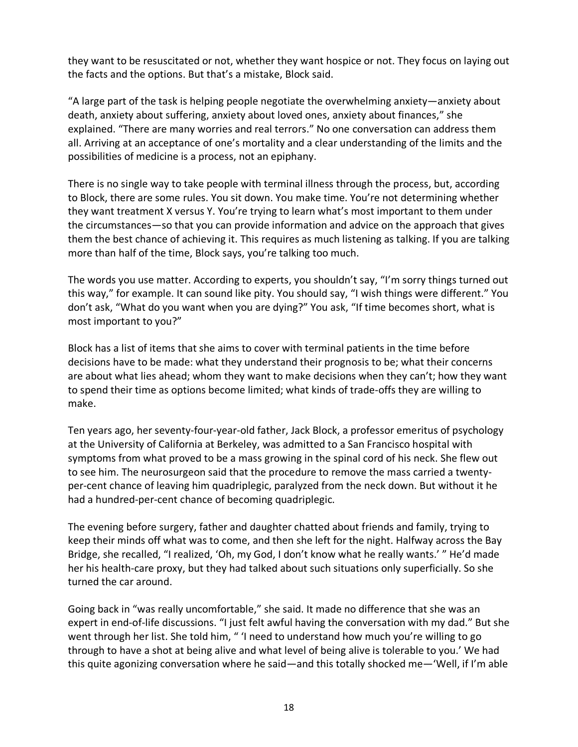they want to be resuscitated or not, whether they want hospice or not. They focus on laying out the facts and the options. But that's a mistake, Block said.

"A large part of the task is helping people negotiate the overwhelming anxiety—anxiety about death, anxiety about suffering, anxiety about loved ones, anxiety about finances," she explained. "There are many worries and real terrors." No one conversation can address them all. Arriving at an acceptance of one's mortality and a clear understanding of the limits and the possibilities of medicine is a process, not an epiphany.

There is no single way to take people with terminal illness through the process, but, according to Block, there are some rules. You sit down. You make time. You're not determining whether they want treatment X versus Y. You're trying to learn what's most important to them under the circumstances—so that you can provide information and advice on the approach that gives them the best chance of achieving it. This requires as much listening as talking. If you are talking more than half of the time, Block says, you're talking too much.

The words you use matter. According to experts, you shouldn't say, "I'm sorry things turned out this way," for example. It can sound like pity. You should say, "I wish things were different." You don't ask, "What do you want when you are dying?" You ask, "If time becomes short, what is most important to you?"

Block has a list of items that she aims to cover with terminal patients in the time before decisions have to be made: what they understand their prognosis to be; what their concerns are about what lies ahead; whom they want to make decisions when they can't; how they want to spend their time as options become limited; what kinds of trade-offs they are willing to make.

Ten years ago, her seventy-four-year-old father, Jack Block, a professor emeritus of psychology at the University of California at Berkeley, was admitted to a San Francisco hospital with symptoms from what proved to be a mass growing in the spinal cord of his neck. She flew out to see him. The neurosurgeon said that the procedure to remove the mass carried a twentyper-cent chance of leaving him quadriplegic, paralyzed from the neck down. But without it he had a hundred-per-cent chance of becoming quadriplegic.

The evening before surgery, father and daughter chatted about friends and family, trying to keep their minds off what was to come, and then she left for the night. Halfway across the Bay Bridge, she recalled, "I realized, 'Oh, my God, I don't know what he really wants.' " He'd made her his health-care proxy, but they had talked about such situations only superficially. So she turned the car around.

Going back in "was really uncomfortable," she said. It made no difference that she was an expert in end-of-life discussions. "I just felt awful having the conversation with my dad." But she went through her list. She told him, " 'I need to understand how much you're willing to go through to have a shot at being alive and what level of being alive is tolerable to you.' We had this quite agonizing conversation where he said—and this totally shocked me—'Well, if I'm able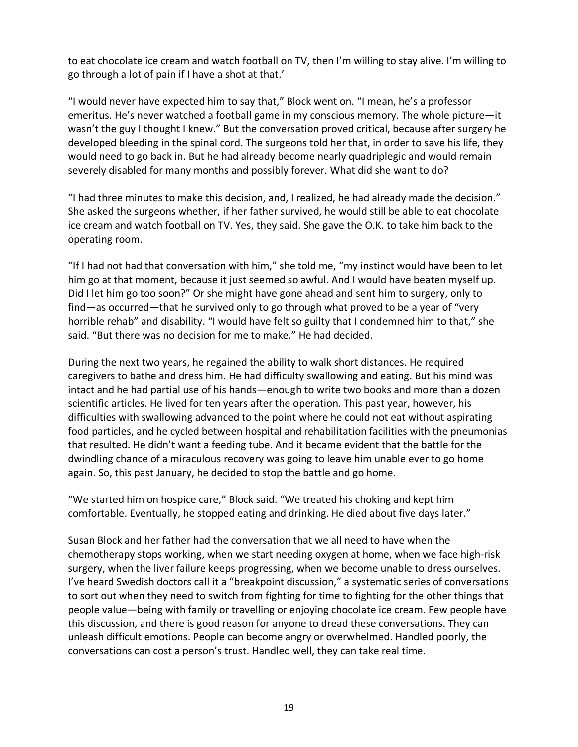to eat chocolate ice cream and watch football on TV, then I'm willing to stay alive. I'm willing to go through a lot of pain if I have a shot at that.'

"I would never have expected him to say that," Block went on. "I mean, he's a professor emeritus. He's never watched a football game in my conscious memory. The whole picture—it wasn't the guy I thought I knew." But the conversation proved critical, because after surgery he developed bleeding in the spinal cord. The surgeons told her that, in order to save his life, they would need to go back in. But he had already become nearly quadriplegic and would remain severely disabled for many months and possibly forever. What did she want to do?

"I had three minutes to make this decision, and, I realized, he had already made the decision." She asked the surgeons whether, if her father survived, he would still be able to eat chocolate ice cream and watch football on TV. Yes, they said. She gave the O.K. to take him back to the operating room.

"If I had not had that conversation with him," she told me, "my instinct would have been to let him go at that moment, because it just seemed so awful. And I would have beaten myself up. Did I let him go too soon?" Or she might have gone ahead and sent him to surgery, only to find—as occurred—that he survived only to go through what proved to be a year of "very horrible rehab" and disability. "I would have felt so guilty that I condemned him to that," she said. "But there was no decision for me to make." He had decided.

During the next two years, he regained the ability to walk short distances. He required caregivers to bathe and dress him. He had difficulty swallowing and eating. But his mind was intact and he had partial use of his hands—enough to write two books and more than a dozen scientific articles. He lived for ten years after the operation. This past year, however, his difficulties with swallowing advanced to the point where he could not eat without aspirating food particles, and he cycled between hospital and rehabilitation facilities with the pneumonias that resulted. He didn't want a feeding tube. And it became evident that the battle for the dwindling chance of a miraculous recovery was going to leave him unable ever to go home again. So, this past January, he decided to stop the battle and go home.

"We started him on hospice care," Block said. "We treated his choking and kept him comfortable. Eventually, he stopped eating and drinking. He died about five days later."

Susan Block and her father had the conversation that we all need to have when the chemotherapy stops working, when we start needing oxygen at home, when we face high-risk surgery, when the liver failure keeps progressing, when we become unable to dress ourselves. I've heard Swedish doctors call it a "breakpoint discussion," a systematic series of conversations to sort out when they need to switch from fighting for time to fighting for the other things that people value—being with family or travelling or enjoying chocolate ice cream. Few people have this discussion, and there is good reason for anyone to dread these conversations. They can unleash difficult emotions. People can become angry or overwhelmed. Handled poorly, the conversations can cost a person's trust. Handled well, they can take real time.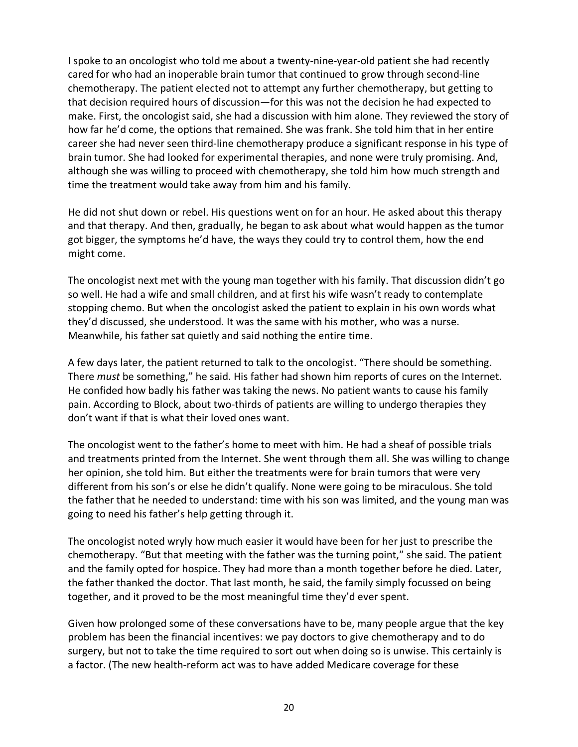I spoke to an oncologist who told me about a twenty-nine-year-old patient she had recently cared for who had an inoperable brain tumor that continued to grow through second-line chemotherapy. The patient elected not to attempt any further chemotherapy, but getting to that decision required hours of discussion—for this was not the decision he had expected to make. First, the oncologist said, she had a discussion with him alone. They reviewed the story of how far he'd come, the options that remained. She was frank. She told him that in her entire career she had never seen third-line chemotherapy produce a significant response in his type of brain tumor. She had looked for experimental therapies, and none were truly promising. And, although she was willing to proceed with chemotherapy, she told him how much strength and time the treatment would take away from him and his family.

He did not shut down or rebel. His questions went on for an hour. He asked about this therapy and that therapy. And then, gradually, he began to ask about what would happen as the tumor got bigger, the symptoms he'd have, the ways they could try to control them, how the end might come.

The oncologist next met with the young man together with his family. That discussion didn't go so well. He had a wife and small children, and at first his wife wasn't ready to contemplate stopping chemo. But when the oncologist asked the patient to explain in his own words what they'd discussed, she understood. It was the same with his mother, who was a nurse. Meanwhile, his father sat quietly and said nothing the entire time.

A few days later, the patient returned to talk to the oncologist. "There should be something. There *must* be something," he said. His father had shown him reports of cures on the Internet. He confided how badly his father was taking the news. No patient wants to cause his family pain. According to Block, about two-thirds of patients are willing to undergo therapies they don't want if that is what their loved ones want.

The oncologist went to the father's home to meet with him. He had a sheaf of possible trials and treatments printed from the Internet. She went through them all. She was willing to change her opinion, she told him. But either the treatments were for brain tumors that were very different from his son's or else he didn't qualify. None were going to be miraculous. She told the father that he needed to understand: time with his son was limited, and the young man was going to need his father's help getting through it.

The oncologist noted wryly how much easier it would have been for her just to prescribe the chemotherapy. "But that meeting with the father was the turning point," she said. The patient and the family opted for hospice. They had more than a month together before he died. Later, the father thanked the doctor. That last month, he said, the family simply focussed on being together, and it proved to be the most meaningful time they'd ever spent.

Given how prolonged some of these conversations have to be, many people argue that the key problem has been the financial incentives: we pay doctors to give chemotherapy and to do surgery, but not to take the time required to sort out when doing so is unwise. This certainly is a factor. (The new health-reform act was to have added Medicare coverage for these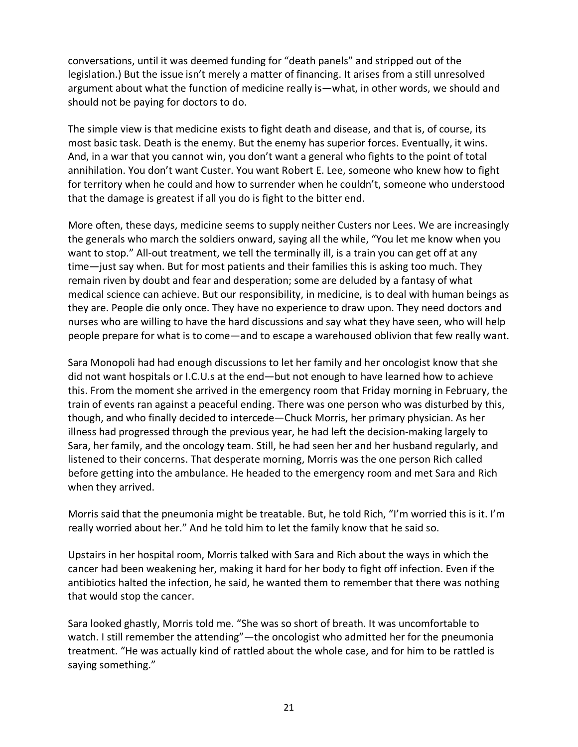conversations, until it was deemed funding for "death panels" and stripped out of the legislation.) But the issue isn't merely a matter of financing. It arises from a still unresolved argument about what the function of medicine really is—what, in other words, we should and should not be paying for doctors to do.

The simple view is that medicine exists to fight death and disease, and that is, of course, its most basic task. Death is the enemy. But the enemy has superior forces. Eventually, it wins. And, in a war that you cannot win, you don't want a general who fights to the point of total annihilation. You don't want Custer. You want Robert E. Lee, someone who knew how to fight for territory when he could and how to surrender when he couldn't, someone who understood that the damage is greatest if all you do is fight to the bitter end.

More often, these days, medicine seems to supply neither Custers nor Lees. We are increasingly the generals who march the soldiers onward, saying all the while, "You let me know when you want to stop." All-out treatment, we tell the terminally ill, is a train you can get off at any time—just say when. But for most patients and their families this is asking too much. They remain riven by doubt and fear and desperation; some are deluded by a fantasy of what medical science can achieve. But our responsibility, in medicine, is to deal with human beings as they are. People die only once. They have no experience to draw upon. They need doctors and nurses who are willing to have the hard discussions and say what they have seen, who will help people prepare for what is to come—and to escape a warehoused oblivion that few really want.

Sara Monopoli had had enough discussions to let her family and her oncologist know that she did not want hospitals or I.C.U.s at the end—but not enough to have learned how to achieve this. From the moment she arrived in the emergency room that Friday morning in February, the train of events ran against a peaceful ending. There was one person who was disturbed by this, though, and who finally decided to intercede—Chuck Morris, her primary physician. As her illness had progressed through the previous year, he had left the decision-making largely to Sara, her family, and the oncology team. Still, he had seen her and her husband regularly, and listened to their concerns. That desperate morning, Morris was the one person Rich called before getting into the ambulance. He headed to the emergency room and met Sara and Rich when they arrived.

Morris said that the pneumonia might be treatable. But, he told Rich, "I'm worried this is it. I'm really worried about her." And he told him to let the family know that he said so.

Upstairs in her hospital room, Morris talked with Sara and Rich about the ways in which the cancer had been weakening her, making it hard for her body to fight off infection. Even if the antibiotics halted the infection, he said, he wanted them to remember that there was nothing that would stop the cancer.

Sara looked ghastly, Morris told me. "She was so short of breath. It was uncomfortable to watch. I still remember the attending"—the oncologist who admitted her for the pneumonia treatment. "He was actually kind of rattled about the whole case, and for him to be rattled is saying something."